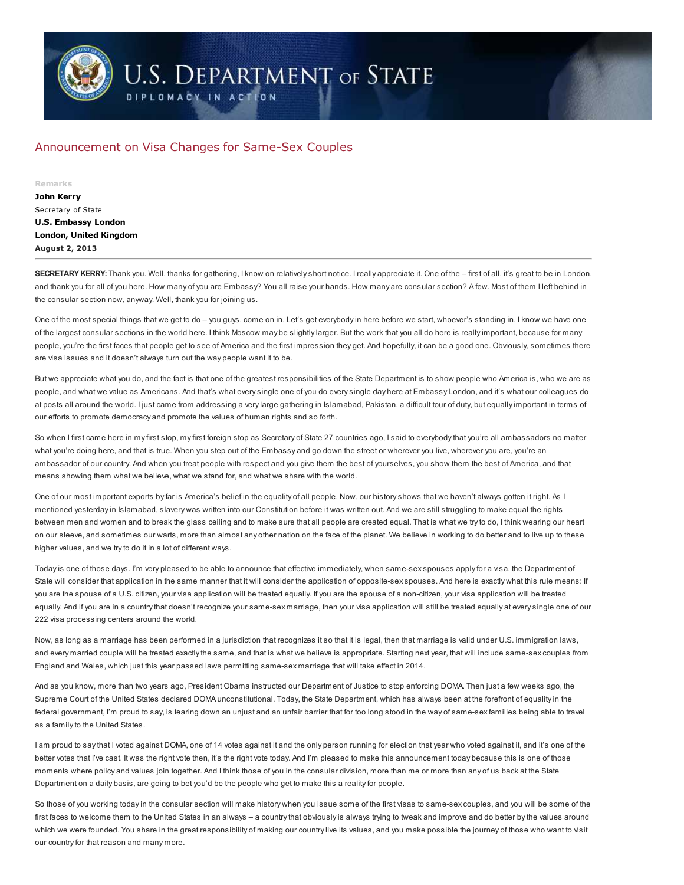

## **U.S. DEPARTMENT OF STATE**

DIPLOMACY IN ACTION

## Announcement on Visa Changes for Same-Sex Couples

August 2, 2013 Remarks John Kerry Secretary of State U.S. Embassy London London, United Kingdom

SECRETARY KERRY: Thank you. Well, thanks for gathering, I know on relatively short notice. I really appreciate it. One of the – first of all, it's great to be in London, and thank you for all of you here. How many of you are Embassy? You all raise your hands. How many are consular section? A few. Most of them I left behind in the consular section now, anyway. Well, thank you for joining us.

One of the most special things that we get to do - you guys, come on in. Let's get everybody in here before we start, whoever's standing in. I know we have one of the largest consular sections in the world here. I think Moscow may be slightly larger. But the work that you all do here is really important, because for many people, you're the first faces that people get to see of America and the first impression they get. And hopefully, it can be a good one. Obviously, sometimes there are visa issues and it doesn't always turn out the way people want it to be.

But we appreciate what you do, and the fact is that one of the greatest responsibilities of the State Department is to show people who America is, who we are as people, and what we value as Americans. And that's what every single one of you do every single day here at Embassy London, and it's what our colleagues do at posts all around the world. I just came from addressing a very large gathering in Islamabad, Pakistan, a difficult tour of duty, but equally important in terms of our efforts to promote democracy and promote the values of human rights and so forth.

So when I first came here in my first stop, my first foreign stop as Secretary of State 27 countries ago, I said to everybody that you're all ambassadors no matter what you're doing here, and that is true. When you step out of the Embassy and go down the street or wherever you live, wherever you are, you're an ambassador of our country. And when you treat people with respect and you give them the best of yourselves, you show them the best of America, and that means showing them what we believe, what we stand for, and what we share with the world.

One of our most important exports by far is America's belief in the equality of all people. Now, our history shows that we haven't always gotten it right. As I mentioned yesterday in Islamabad, slavery was written into our Constitution before it was written out. And we are still struggling to make equal the rights between men and women and to break the glass ceiling and to make sure that all people are created equal. That is what we try to do, I think wearing our heart on our sleeve, and sometimes our warts, more than almost any other nation on the face of the planet. We believe in working to do better and to live up to these higher values, and we try to do it in a lot of different ways.

Today is one of those days. I'm very pleased to be able to announce that effective immediately, when same-sex spouses apply for a visa, the Department of State will consider that application in the same manner that it will consider the application of opposite-sex spouses. And here is exactly what this rule means: If you are the spouse of a U.S. citizen, your visa application will be treated equally. If you are the spouse of a non-citizen, your visa application will be treated equally. And if you are in a country that doesn't recognize your same-sex marriage, then your visa application will still be treated equally at every single one of our 222 visa processing centers around the world.

Now, as long as a marriage has been performed in a jurisdiction that recognizes it so that it is legal, then that marriage is valid under U.S. immigration laws, and every married couple will be treated exactly the same, and that is what we believe is appropriate. Starting next year, that will include same-sex couples from England and Wales, which just this year passed laws permitting same-sex marriage that will take effect in 2014.

And as you know, more than two years ago, President Obama instructed our Department of Justice to stop enforcing DOMA. Then just a few weeks ago, the Supreme Court of the United States declared DOMA unconstitutional. Today, the State Department, which has always been at the forefront of equality in the federal government, I'm proud to say, is tearing down an unjust and an unfair barrier that for too long stood in the way of same-sex families being able to travel as a family to the United States.

I am proud to say that I voted against DOMA, one of 14 votes against it and the only person running for election that year who voted against it, and it's one of the better votes that I've cast. It was the right vote then, it's the right vote today. And I'm pleased to make this announcement today because this is one of those moments where policy and values join together. And I think those of you in the consular division, more than me or more than any of us back at the State Department on a daily basis, are going to bet you'd be the people who get to make this a reality for people.

So those of you working today in the consular section will make history when you issue some of the first visas to same-sex couples, and you will be some of the first faces to welcome them to the United States in an always - a country that obviously is always trying to tweak and improve and do better by the values around which we were founded. You share in the great responsibility of making our country live its values, and you make possible the journey of those who want to visit our country for that reason and many more.